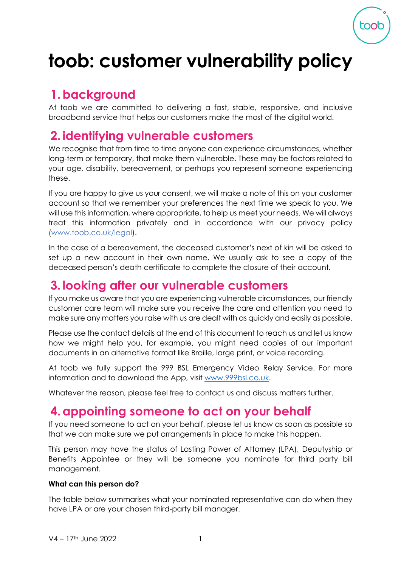

# **toob: customer vulnerability policy**

# **1.background**

At toob we are committed to delivering a fast, stable, responsive, and inclusive broadband service that helps our customers make the most of the digital world.

# **2. identifying vulnerable customers**

We recognise that from time to time anyone can experience circumstances, whether long-term or temporary, that make them vulnerable. These may be factors related to your age, disability, bereavement, or perhaps you represent someone experiencing these.

If you are happy to give us your consent, we will make a note of this on your customer account so that we remember your preferences the next time we speak to you. We will use this information, where appropriate, to help us meet your needs. We will always treat this information privately and in accordance with our privacy policy [\(www.toob.co.uk/legal\)](http://www.toob.co.uk/legal).

In the case of a bereavement, the deceased customer's next of kin will be asked to set up a new account in their own name. We usually ask to see a copy of the deceased person's death certificate to complete the closure of their account.

#### **3. looking after our vulnerable customers**

If you make us aware that you are experiencing vulnerable circumstances, our friendly customer care team will make sure you receive the care and attention you need to make sure any matters you raise with us are dealt with as quickly and easily as possible.

Please use the contact details at the end of this document to reach us and let us know how we might help you, for example, you might need copies of our important documents in an alternative format like Braille, large print, or voice recording.

At toob we fully support the 999 BSL Emergency Video Relay Service. For more information and to download the App, visit [www.999bsl.co.uk.](http://www.999bsl.co.uk/)

Whatever the reason, please feel free to contact us and discuss matters further.

### **4.appointing someone to act on your behalf**

If you need someone to act on your behalf, please let us know as soon as possible so that we can make sure we put arrangements in place to make this happen.

This person may have the status of Lasting Power of Attorney (LPA), Deputyship or Benefits Appointee or they will be someone you nominate for third party bill management.

#### **What can this person do?**

The table below summarises what your nominated representative can do when they have LPA or are your chosen third-party bill manager.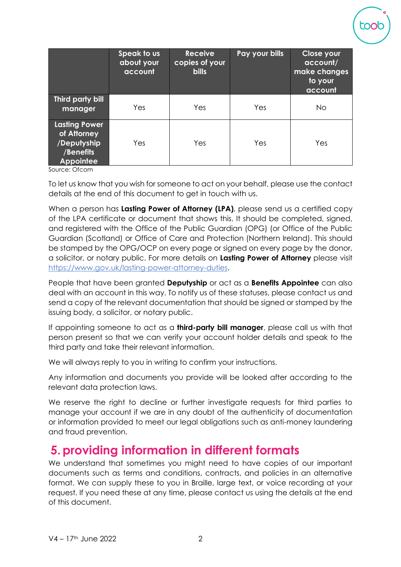|                                                                                     | Speak to us<br>about your<br>account | <b>Receive</b><br>copies of your<br><b>bills</b> | Pay your bills | <b>Close your</b><br>account/<br>make changes<br>to your<br>account |
|-------------------------------------------------------------------------------------|--------------------------------------|--------------------------------------------------|----------------|---------------------------------------------------------------------|
| Third party bill<br>manager                                                         | Yes                                  | Yes                                              | Yes            | <b>No</b>                                                           |
| <b>Lasting Power</b><br>of Attorney<br>/Deputyship<br>/Benefits<br><b>Appointee</b> | Yes                                  | Yes                                              | Yes            | Yes                                                                 |

Source: Ofcom

To let us know that you wish for someone to act on your behalf, please use the contact details at the end of this document to get in touch with us.

When a person has **Lasting Power of Attorney (LPA)**, please send us a certified copy of the LPA certificate or document that shows this. It should be completed, signed, and registered with the Office of the Public Guardian (OPG) (or Office of the Public Guardian (Scotland) or Office of Care and Protection (Northern Ireland). This should be stamped by the OPG/OCP on every page or signed on every page by the donor, a solicitor, or notary public. For more details on **Lasting Power of Attorney** please visit [https://www.gov.uk/lasting-power-attorney-duties.](https://www.gov.uk/lasting-power-attorney-duties)

People that have been granted **Deputyship** or act as a **Benefits Appointee** can also deal with an account in this way. To notify us of these statuses, please contact us and send a copy of the relevant documentation that should be signed or stamped by the issuing body, a solicitor, or notary public.

If appointing someone to act as a **third-party bill manager**, please call us with that person present so that we can verify your account holder details and speak to the third party and take their relevant information.

We will always reply to you in writing to confirm your instructions.

Any information and documents you provide will be looked after according to the relevant data protection laws.

We reserve the right to decline or further investigate requests for third parties to manage your account if we are in any doubt of the authenticity of documentation or information provided to meet our legal obligations such as anti-money laundering and fraud prevention.

#### **5.providing information in different formats**

We understand that sometimes you might need to have copies of our important documents such as terms and conditions, contracts, and policies in an alternative format. We can supply these to you in Braille, large text, or voice recording at your request. If you need these at any time, please contact us using the details at the end of this document.